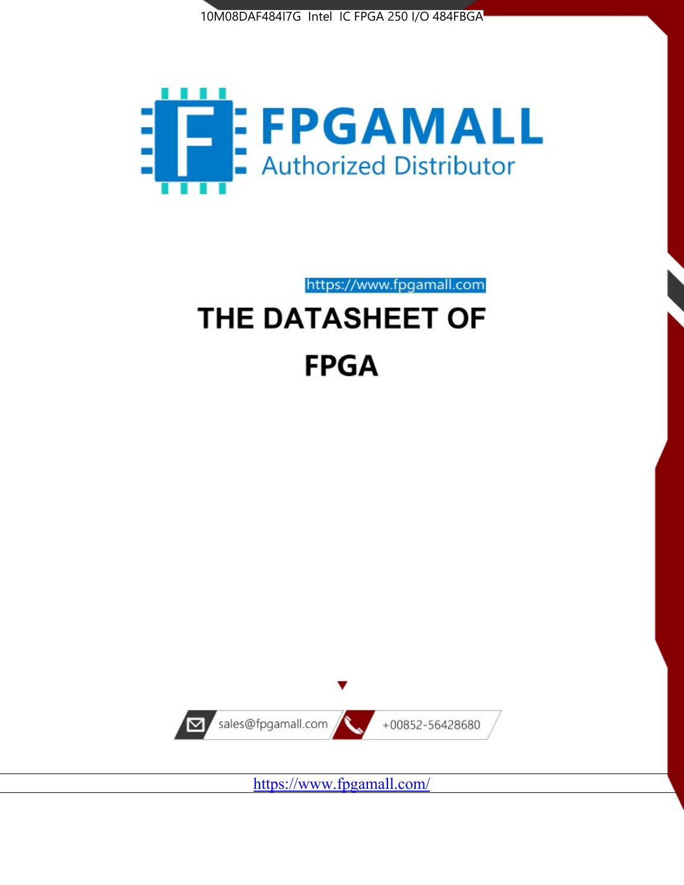



https://www.fpgamall.com THE DATASHEET OF

# **FPGA**



<https://www.fpgamall.com/>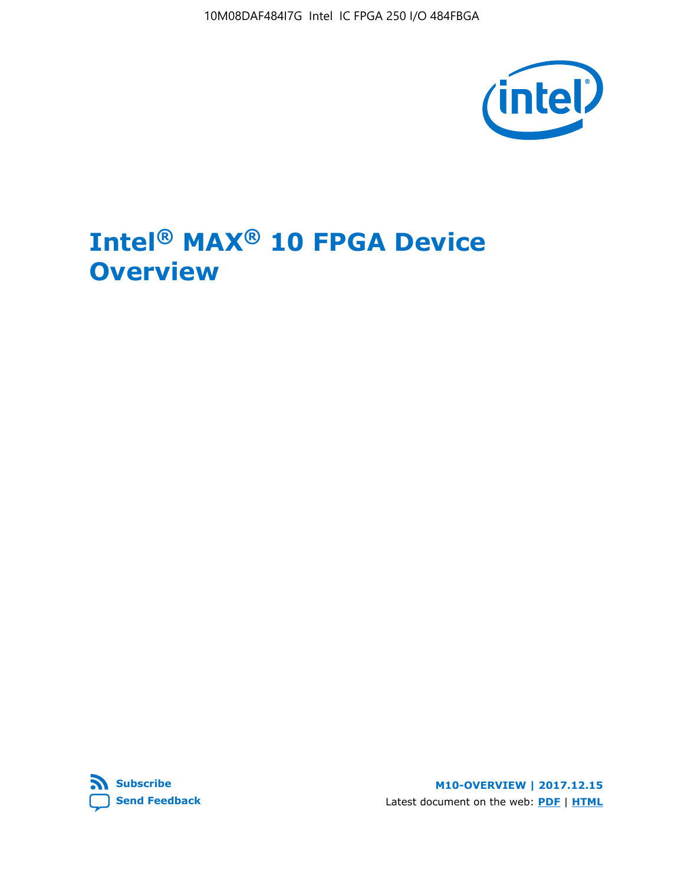10M08DAF484I7G Intel IC FPGA 250 I/O 484FBGA



## **Intel® MAX® 10 FPGA Device Overview**



**M10-OVERVIEW | 2017.12.15** Latest document on the web: **[PDF](https://www.altera.com/en_US/pdfs/literature/hb/max-10/m10_overview.pdf)** | **[HTML](https://www.altera.com/documentation/myt1396938463674.html)**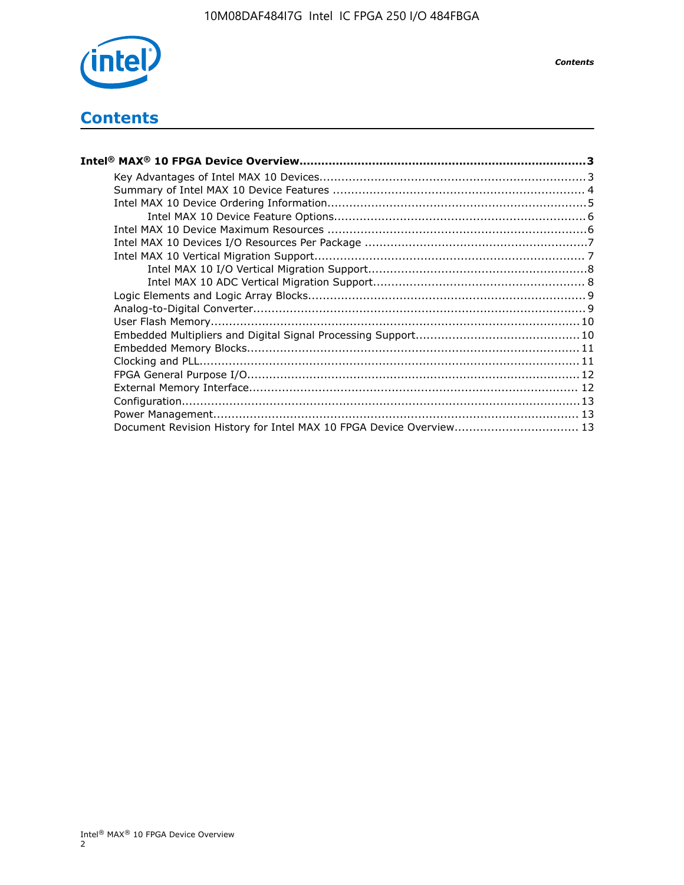

## **Contents**

| Intel® MAX® 10 FPGA Device Overview……………………………………………………………………………3  |  |
|--------------------------------------------------------------------|--|
|                                                                    |  |
|                                                                    |  |
|                                                                    |  |
|                                                                    |  |
|                                                                    |  |
|                                                                    |  |
|                                                                    |  |
|                                                                    |  |
|                                                                    |  |
|                                                                    |  |
|                                                                    |  |
|                                                                    |  |
|                                                                    |  |
|                                                                    |  |
|                                                                    |  |
|                                                                    |  |
|                                                                    |  |
|                                                                    |  |
|                                                                    |  |
| Document Revision History for Intel MAX 10 FPGA Device Overview 13 |  |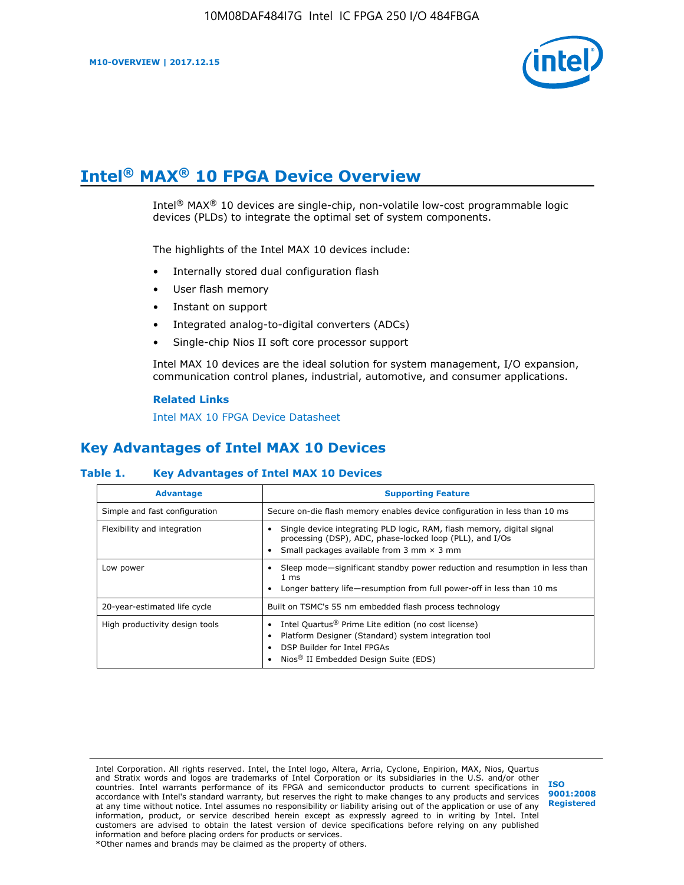

## **Intel® MAX® 10 FPGA Device Overview**

Intel® MAX® 10 devices are single-chip, non-volatile low-cost programmable logic devices (PLDs) to integrate the optimal set of system components.

The highlights of the Intel MAX 10 devices include:

- Internally stored dual configuration flash
- User flash memory
- Instant on support
- Integrated analog-to-digital converters (ADCs)
- Single-chip Nios II soft core processor support

Intel MAX 10 devices are the ideal solution for system management, I/O expansion, communication control planes, industrial, automotive, and consumer applications.

#### **Related Links**

[Intel MAX 10 FPGA Device Datasheet](https://www.altera.com/documentation/mcn1397700832153.html#mcn1397643748870)

## **Key Advantages of Intel MAX 10 Devices**

#### **Table 1. Key Advantages of Intel MAX 10 Devices**

| <b>Advantage</b>               | <b>Supporting Feature</b>                                                                                                                                                                                  |  |  |  |
|--------------------------------|------------------------------------------------------------------------------------------------------------------------------------------------------------------------------------------------------------|--|--|--|
| Simple and fast configuration  | Secure on-die flash memory enables device configuration in less than 10 ms                                                                                                                                 |  |  |  |
| Flexibility and integration    | Single device integrating PLD logic, RAM, flash memory, digital signal<br>processing (DSP), ADC, phase-locked loop (PLL), and I/Os<br>Small packages available from 3 mm $\times$ 3 mm                     |  |  |  |
| Low power                      | Sleep mode—significant standby power reduction and resumption in less than<br>$1 \text{ ms}$<br>Longer battery life-resumption from full power-off in less than 10 ms                                      |  |  |  |
| 20-year-estimated life cycle   | Built on TSMC's 55 nm embedded flash process technology                                                                                                                                                    |  |  |  |
| High productivity design tools | Intel Quartus <sup>®</sup> Prime Lite edition (no cost license)<br>Platform Designer (Standard) system integration tool<br>DSP Builder for Intel FPGAs<br>Nios <sup>®</sup> II Embedded Design Suite (EDS) |  |  |  |

Intel Corporation. All rights reserved. Intel, the Intel logo, Altera, Arria, Cyclone, Enpirion, MAX, Nios, Quartus and Stratix words and logos are trademarks of Intel Corporation or its subsidiaries in the U.S. and/or other countries. Intel warrants performance of its FPGA and semiconductor products to current specifications in accordance with Intel's standard warranty, but reserves the right to make changes to any products and services at any time without notice. Intel assumes no responsibility or liability arising out of the application or use of any information, product, or service described herein except as expressly agreed to in writing by Intel. Intel customers are advised to obtain the latest version of device specifications before relying on any published information and before placing orders for products or services. \*Other names and brands may be claimed as the property of others.

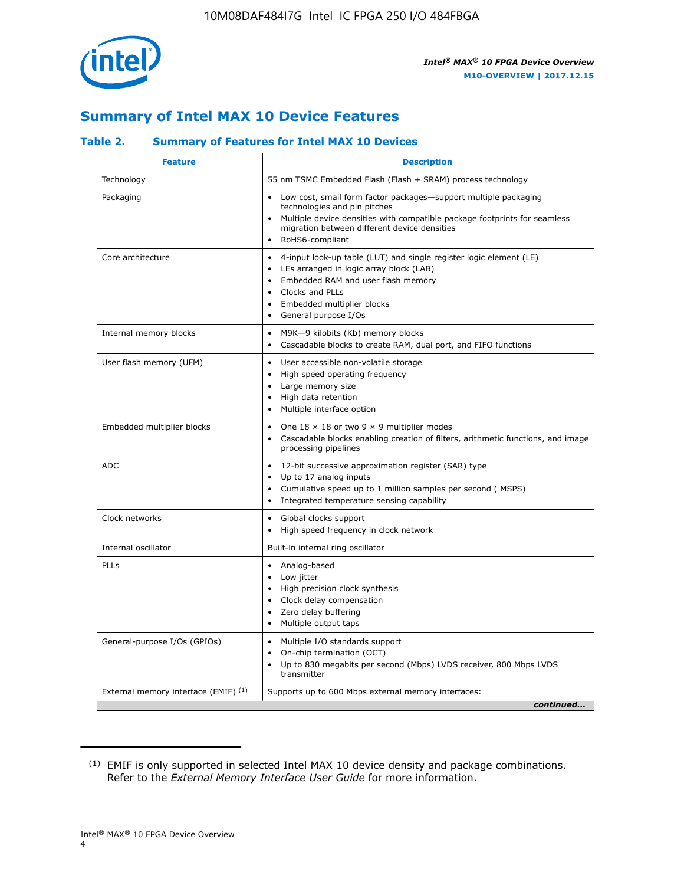

## **Summary of Intel MAX 10 Device Features**

## **Table 2. Summary of Features for Intel MAX 10 Devices**

| <b>Feature</b>                       | <b>Description</b>                                                                                                                                                                                                                                                  |
|--------------------------------------|---------------------------------------------------------------------------------------------------------------------------------------------------------------------------------------------------------------------------------------------------------------------|
| Technology                           | 55 nm TSMC Embedded Flash (Flash + SRAM) process technology                                                                                                                                                                                                         |
| Packaging                            | Low cost, small form factor packages-support multiple packaging<br>technologies and pin pitches<br>Multiple device densities with compatible package footprints for seamless<br>migration between different device densities<br>RoHS6-compliant                     |
| Core architecture                    | 4-input look-up table (LUT) and single register logic element (LE)<br>$\bullet$<br>LEs arranged in logic array block (LAB)<br>$\bullet$<br>Embedded RAM and user flash memory<br>Clocks and PLLs<br>$\bullet$<br>Embedded multiplier blocks<br>General purpose I/Os |
| Internal memory blocks               | M9K-9 kilobits (Kb) memory blocks<br>$\bullet$<br>Cascadable blocks to create RAM, dual port, and FIFO functions<br>$\bullet$                                                                                                                                       |
| User flash memory (UFM)              | User accessible non-volatile storage<br>$\bullet$<br>High speed operating frequency<br>$\bullet$<br>Large memory size<br>$\bullet$<br>High data retention<br>$\bullet$<br>Multiple interface option                                                                 |
| Embedded multiplier blocks           | One $18 \times 18$ or two 9 $\times$ 9 multiplier modes<br>$\bullet$<br>Cascadable blocks enabling creation of filters, arithmetic functions, and image<br>processing pipelines                                                                                     |
| <b>ADC</b>                           | 12-bit successive approximation register (SAR) type<br>$\bullet$<br>Up to 17 analog inputs<br>$\bullet$<br>Cumulative speed up to 1 million samples per second (MSPS)<br>Integrated temperature sensing capability                                                  |
| Clock networks                       | Global clocks support<br>$\bullet$<br>High speed frequency in clock network                                                                                                                                                                                         |
| Internal oscillator                  | Built-in internal ring oscillator                                                                                                                                                                                                                                   |
| PLLs                                 | Analog-based<br>$\bullet$<br>Low jitter<br>$\bullet$<br>High precision clock synthesis<br>Clock delay compensation<br>$\bullet$<br>Zero delay buffering<br>$\bullet$<br>Multiple output taps<br>$\bullet$                                                           |
| General-purpose I/Os (GPIOs)         | Multiple I/O standards support<br>$\bullet$<br>On-chip termination (OCT)<br>$\bullet$<br>Up to 830 megabits per second (Mbps) LVDS receiver, 800 Mbps LVDS<br>transmitter                                                                                           |
| External memory interface (EMIF) (1) | Supports up to 600 Mbps external memory interfaces:<br>continued                                                                                                                                                                                                    |

<sup>(1)</sup> EMIF is only supported in selected Intel MAX 10 device density and package combinations. Refer to the *External Memory Interface User Guide* for more information.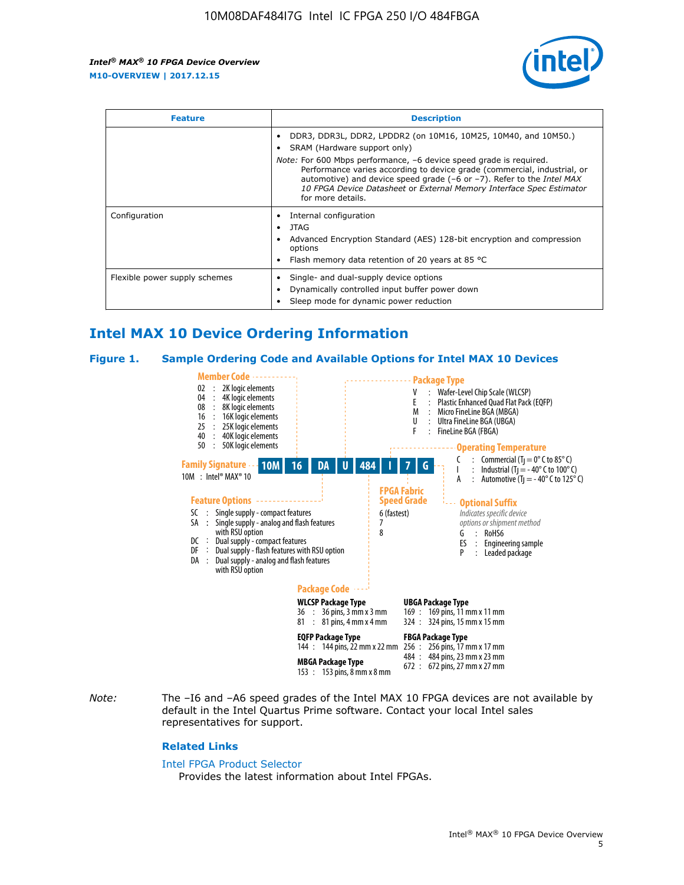

| <b>Feature</b>                | <b>Description</b>                                                                                                                                                                                                                                                                                                                             |
|-------------------------------|------------------------------------------------------------------------------------------------------------------------------------------------------------------------------------------------------------------------------------------------------------------------------------------------------------------------------------------------|
|                               | DDR3, DDR3L, DDR2, LPDDR2 (on 10M16, 10M25, 10M40, and 10M50.)<br>SRAM (Hardware support only)                                                                                                                                                                                                                                                 |
|                               | <i>Note:</i> For 600 Mbps performance, -6 device speed grade is required.<br>Performance varies according to device grade (commercial, industrial, or<br>automotive) and device speed grade $(-6 \text{ or } -7)$ . Refer to the <i>Intel MAX</i><br>10 FPGA Device Datasheet or External Memory Interface Spec Estimator<br>for more details. |
| Configuration                 | Internal configuration                                                                                                                                                                                                                                                                                                                         |
|                               | <b>JTAG</b>                                                                                                                                                                                                                                                                                                                                    |
|                               | Advanced Encryption Standard (AES) 128-bit encryption and compression<br>options                                                                                                                                                                                                                                                               |
|                               | Flash memory data retention of 20 years at 85 $^{\circ}$ C                                                                                                                                                                                                                                                                                     |
| Flexible power supply schemes | Single- and dual-supply device options<br>Dynamically controlled input buffer power down<br>Sleep mode for dynamic power reduction                                                                                                                                                                                                             |

## **Intel MAX 10 Device Ordering Information**

#### **Figure 1. Sample Ordering Code and Available Options for Intel MAX 10 Devices**



*Note:* The –I6 and –A6 speed grades of the Intel MAX 10 FPGA devices are not available by default in the Intel Quartus Prime software. Contact your local Intel sales representatives for support.

#### **Related Links**

#### [Intel FPGA Product Selector](http://www.altera.com/products/selector/psg-selector.html)

Provides the latest information about Intel FPGAs.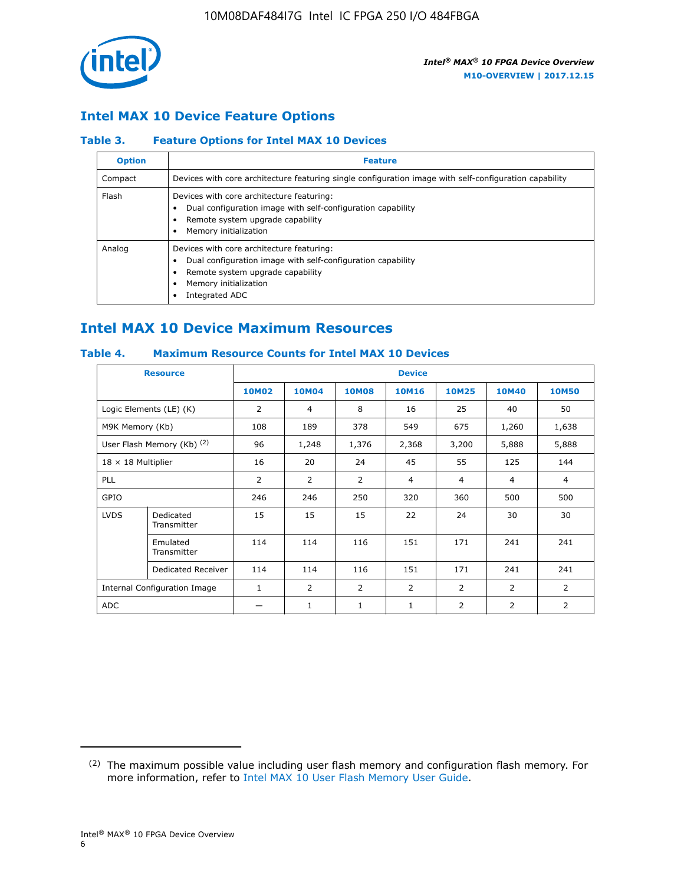

## **Intel MAX 10 Device Feature Options**

## **Table 3. Feature Options for Intel MAX 10 Devices**

| <b>Option</b> | <b>Feature</b>                                                                                                                                                                          |
|---------------|-----------------------------------------------------------------------------------------------------------------------------------------------------------------------------------------|
| Compact       | Devices with core architecture featuring single configuration image with self-configuration capability                                                                                  |
| Flash         | Devices with core architecture featuring:<br>Dual configuration image with self-configuration capability<br>Remote system upgrade capability<br>Memory initialization                   |
| Analog        | Devices with core architecture featuring:<br>Dual configuration image with self-configuration capability<br>Remote system upgrade capability<br>Memory initialization<br>Integrated ADC |

## **Intel MAX 10 Device Maximum Resources**

## **Table 4. Maximum Resource Counts for Intel MAX 10 Devices**

| <b>Resource</b>                     |                            |              |                |              | <b>Device</b>  |                |              |                |
|-------------------------------------|----------------------------|--------------|----------------|--------------|----------------|----------------|--------------|----------------|
|                                     |                            | <b>10M02</b> | 10M04          | <b>10M08</b> | <b>10M16</b>   | <b>10M25</b>   | <b>10M40</b> | <b>10M50</b>   |
|                                     | Logic Elements (LE) (K)    | 2            | 4              | 8            | 16             | 25             | 40           | 50             |
| M9K Memory (Kb)                     |                            | 108          | 189            | 378          | 549            | 675            | 1,260        | 1,638          |
|                                     | User Flash Memory (Kb) (2) | 96           | 1,248          | 1,376        | 2,368          | 3,200          | 5,888        | 5,888          |
| $18 \times 18$ Multiplier           |                            | 16           | 20             | 24           | 45             | 55             | 125          | 144            |
| <b>PLL</b>                          |                            | 2            | $\overline{2}$ | 2            | $\overline{4}$ | $\overline{4}$ | 4            | $\overline{4}$ |
| GPIO                                |                            | 246          | 246            | 250          | 320            | 360            | 500          | 500            |
| <b>LVDS</b>                         | Dedicated<br>Transmitter   | 15           | 15             | 15           | 22             | 24             | 30           | 30             |
|                                     | Emulated<br>Transmitter    | 114          | 114            | 116          | 151            | 171            | 241          | 241            |
|                                     | Dedicated Receiver         | 114          | 114            | 116          | 151            | 171            | 241          | 241            |
| <b>Internal Configuration Image</b> |                            | $\mathbf{1}$ | $\overline{2}$ | 2            | $\overline{2}$ | $\overline{2}$ | 2            | $\overline{2}$ |
| ADC                                 |                            |              | 1              | $\mathbf{1}$ | $\mathbf{1}$   | 2              | 2            | 2              |

<sup>(2)</sup> The maximum possible value including user flash memory and configuration flash memory. For more information, refer to [Intel MAX 10 User Flash Memory User Guide](https://www.altera.com/documentation/vgo1395753117436.html#vgo1395811844282).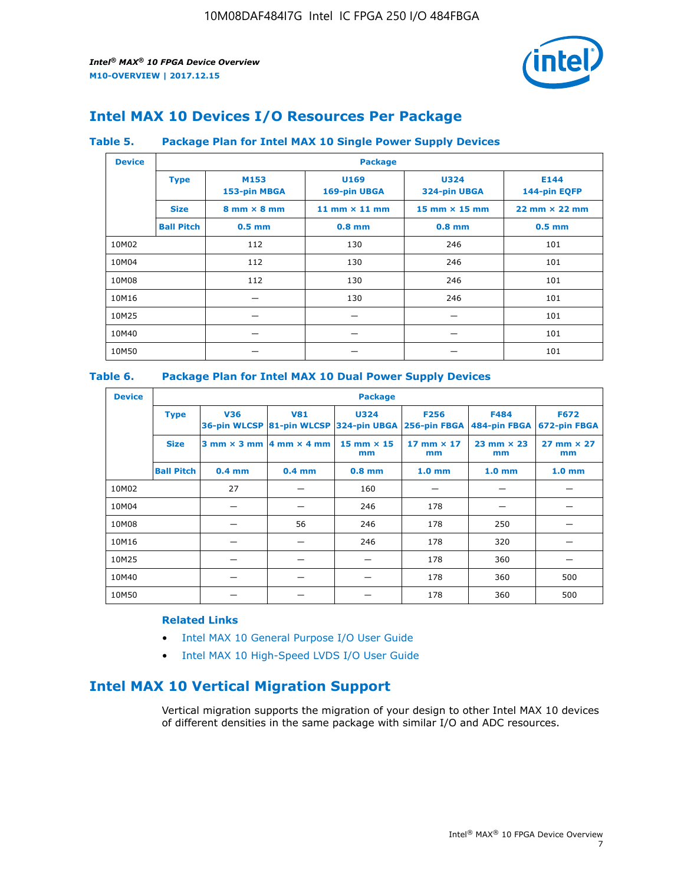

## **Intel MAX 10 Devices I/O Resources Per Package**

#### **Table 5. Package Plan for Intel MAX 10 Single Power Supply Devices**

| <b>Device</b> |                   | <b>Package</b>                     |                      |                             |                                      |  |  |  |
|---------------|-------------------|------------------------------------|----------------------|-----------------------------|--------------------------------------|--|--|--|
|               | <b>Type</b>       | M153<br>153-pin MBGA               | U169<br>169-pin UBGA | <b>U324</b><br>324-pin UBGA | E144<br>144-pin EQFP                 |  |  |  |
|               | <b>Size</b>       | $8 \text{ mm} \times 8 \text{ mm}$ | 11 mm $\times$ 11 mm | 15 mm $\times$ 15 mm        | $22 \text{ mm} \times 22 \text{ mm}$ |  |  |  |
|               | <b>Ball Pitch</b> | $0.5$ mm                           | $0.8$ mm             | $0.8$ mm                    | $0.5$ mm                             |  |  |  |
| 10M02         |                   | 112                                | 130                  | 246                         | 101                                  |  |  |  |
| 10M04         |                   | 112                                | 130                  | 246                         | 101                                  |  |  |  |
| 10M08         |                   | 112                                | 130                  | 246                         | 101                                  |  |  |  |
| 10M16         |                   |                                    | 130                  | 246                         | 101                                  |  |  |  |
| 10M25         |                   |                                    |                      |                             | 101                                  |  |  |  |
| 10M40         |                   |                                    |                      |                             | 101                                  |  |  |  |
| 10M50         |                   |                                    |                      |                             | 101                                  |  |  |  |

#### **Table 6. Package Plan for Intel MAX 10 Dual Power Supply Devices**

| <b>Device</b> |                   | <b>Package</b> |                                                |                                                                    |                         |                             |                             |  |  |
|---------------|-------------------|----------------|------------------------------------------------|--------------------------------------------------------------------|-------------------------|-----------------------------|-----------------------------|--|--|
|               | <b>Type</b>       | <b>V36</b>     | <b>V81</b>                                     | <b>U324</b><br>36-pin WLCSP 81-pin WLCSP 324-pin UBGA 256-pin FBGA | <b>F256</b>             | <b>F484</b><br>484-pin FBGA | <b>F672</b><br>672-pin FBGA |  |  |
|               | <b>Size</b>       |                | $3$ mm $\times$ 3 mm $ 4$ mm $\times$ 4 mm $ $ | $15$ mm $\times$ 15<br>mm                                          | 17 mm $\times$ 17<br>mm | $23$ mm $\times$ 23<br>mm   | $27$ mm $\times$ 27<br>mm   |  |  |
|               | <b>Ball Pitch</b> | $0.4$ mm       | $0.4$ mm                                       | $0.8$ mm                                                           | 1.0 <sub>mm</sub>       | 1.0 <sub>mm</sub>           | 1.0 <sub>mm</sub>           |  |  |
| 10M02         |                   | 27             |                                                | 160                                                                |                         |                             |                             |  |  |
| 10M04         |                   |                |                                                | 246                                                                | 178                     |                             |                             |  |  |
| 10M08         |                   |                | 56                                             | 246                                                                | 178                     | 250                         |                             |  |  |
| 10M16         |                   |                |                                                | 246                                                                | 178                     | 320                         |                             |  |  |
| 10M25         |                   |                |                                                |                                                                    | 178                     | 360                         |                             |  |  |
| 10M40         |                   |                |                                                |                                                                    | 178                     | 360                         | 500                         |  |  |
| 10M50         |                   |                |                                                |                                                                    | 178                     | 360                         | 500                         |  |  |

## **Related Links**

- [Intel MAX 10 General Purpose I/O User Guide](https://www.altera.com/documentation/sam1393999966669.html#sam1394000084476)
- [Intel MAX 10 High-Speed LVDS I/O User Guide](https://www.altera.com/documentation/sam1394433606063.html#sam1394433911642)

## **Intel MAX 10 Vertical Migration Support**

Vertical migration supports the migration of your design to other Intel MAX 10 devices of different densities in the same package with similar I/O and ADC resources.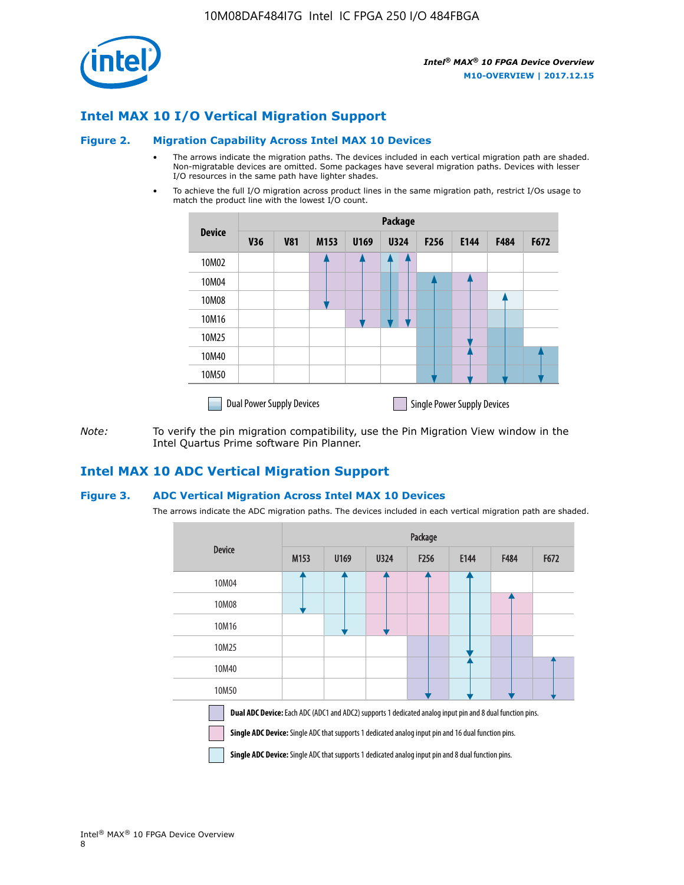

## **Intel MAX 10 I/O Vertical Migration Support**

#### **Figure 2. Migration Capability Across Intel MAX 10 Devices**

- The arrows indicate the migration paths. The devices included in each vertical migration path are shaded. Non-migratable devices are omitted. Some packages have several migration paths. Devices with lesser I/O resources in the same path have lighter shades.
- To achieve the full I/O migration across product lines in the same migration path, restrict I/Os usage to match the product line with the lowest I/O count.

|               | <b>Package</b>                   |            |      |      |             |                  |                                    |      |      |  |
|---------------|----------------------------------|------------|------|------|-------------|------------------|------------------------------------|------|------|--|
| <b>Device</b> | <b>V36</b>                       | <b>V81</b> | M153 | U169 | <b>U324</b> | F <sub>256</sub> | E144                               | F484 | F672 |  |
| 10M02         |                                  |            |      |      | 7           |                  |                                    |      |      |  |
| 10M04         |                                  |            |      |      |             |                  |                                    |      |      |  |
| 10M08         |                                  |            |      |      |             |                  |                                    |      |      |  |
| 10M16         |                                  |            |      |      |             |                  |                                    |      |      |  |
| 10M25         |                                  |            |      |      |             |                  |                                    |      |      |  |
| 10M40         |                                  |            |      |      |             |                  |                                    |      |      |  |
| 10M50         |                                  |            |      |      |             |                  |                                    |      |      |  |
|               | <b>Dual Power Supply Devices</b> |            |      |      |             |                  | <b>Single Power Supply Devices</b> |      |      |  |

*Note:* To verify the pin migration compatibility, use the Pin Migration View window in the Intel Quartus Prime software Pin Planner.

## **Intel MAX 10 ADC Vertical Migration Support**

#### **Figure 3. ADC Vertical Migration Across Intel MAX 10 Devices**

The arrows indicate the ADC migration paths. The devices included in each vertical migration path are shaded.

|                                                                                                                                                                                                                         | Package          |      |      |                  |      |             |      |  |  |
|-------------------------------------------------------------------------------------------------------------------------------------------------------------------------------------------------------------------------|------------------|------|------|------------------|------|-------------|------|--|--|
| <b>Device</b>                                                                                                                                                                                                           | M <sub>153</sub> | U169 | U324 | F <sub>256</sub> | E144 | <b>F484</b> | F672 |  |  |
| 10M04                                                                                                                                                                                                                   |                  |      |      |                  |      |             |      |  |  |
| 10M08                                                                                                                                                                                                                   |                  |      |      |                  |      |             |      |  |  |
| 10M16                                                                                                                                                                                                                   |                  |      |      |                  |      |             |      |  |  |
| 10M25                                                                                                                                                                                                                   |                  |      |      |                  |      |             |      |  |  |
| 10M40                                                                                                                                                                                                                   |                  |      |      |                  |      |             |      |  |  |
| 10M50                                                                                                                                                                                                                   |                  |      |      |                  |      |             |      |  |  |
| <b>Dual ADC Device:</b> Each ADC (ADC1 and ADC2) supports 1 dedicated analog input pin and 8 dual function pins.<br>Single ADC Device: Single ADC that supports 1 dedicated analog input pin and 16 dual function pins. |                  |      |      |                  |      |             |      |  |  |

**Single ADC Device:** Single ADC that supports 1 dedicated analog input pin and 8 dual function pins.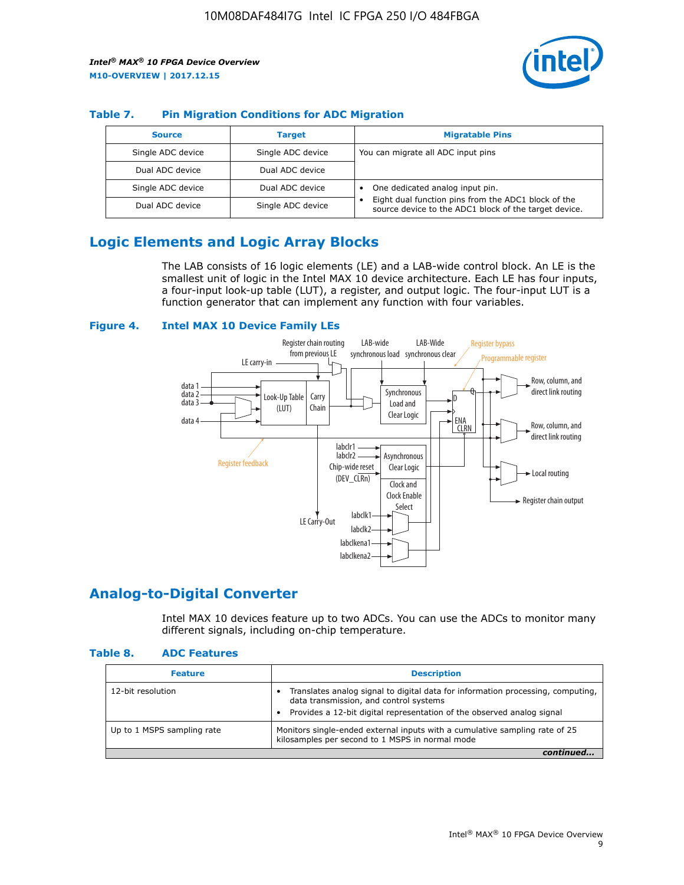

## **Table 7. Pin Migration Conditions for ADC Migration**

| <b>Source</b>     | <b>Target</b>     | <b>Migratable Pins</b>                                                                                            |
|-------------------|-------------------|-------------------------------------------------------------------------------------------------------------------|
| Single ADC device | Single ADC device | You can migrate all ADC input pins                                                                                |
| Dual ADC device   | Dual ADC device   |                                                                                                                   |
| Single ADC device | Dual ADC device   | One dedicated analog input pin.                                                                                   |
| Dual ADC device   | Single ADC device | Eight dual function pins from the ADC1 block of the<br>٠<br>source device to the ADC1 block of the target device. |

## **Logic Elements and Logic Array Blocks**

The LAB consists of 16 logic elements (LE) and a LAB-wide control block. An LE is the smallest unit of logic in the Intel MAX 10 device architecture. Each LE has four inputs, a four-input look-up table (LUT), a register, and output logic. The four-input LUT is a function generator that can implement any function with four variables.

#### **Figure 4. Intel MAX 10 Device Family LEs**



## **Analog-to-Digital Converter**

Intel MAX 10 devices feature up to two ADCs. You can use the ADCs to monitor many different signals, including on-chip temperature.

#### **Table 8. ADC Features**

| <b>Feature</b>             | <b>Description</b>                                                                                                                                                                                  |
|----------------------------|-----------------------------------------------------------------------------------------------------------------------------------------------------------------------------------------------------|
| 12-bit resolution          | Translates analog signal to digital data for information processing, computing,<br>data transmission, and control systems<br>Provides a 12-bit digital representation of the observed analog signal |
| Up to 1 MSPS sampling rate | Monitors single-ended external inputs with a cumulative sampling rate of 25<br>kilosamples per second to 1 MSPS in normal mode                                                                      |
|                            |                                                                                                                                                                                                     |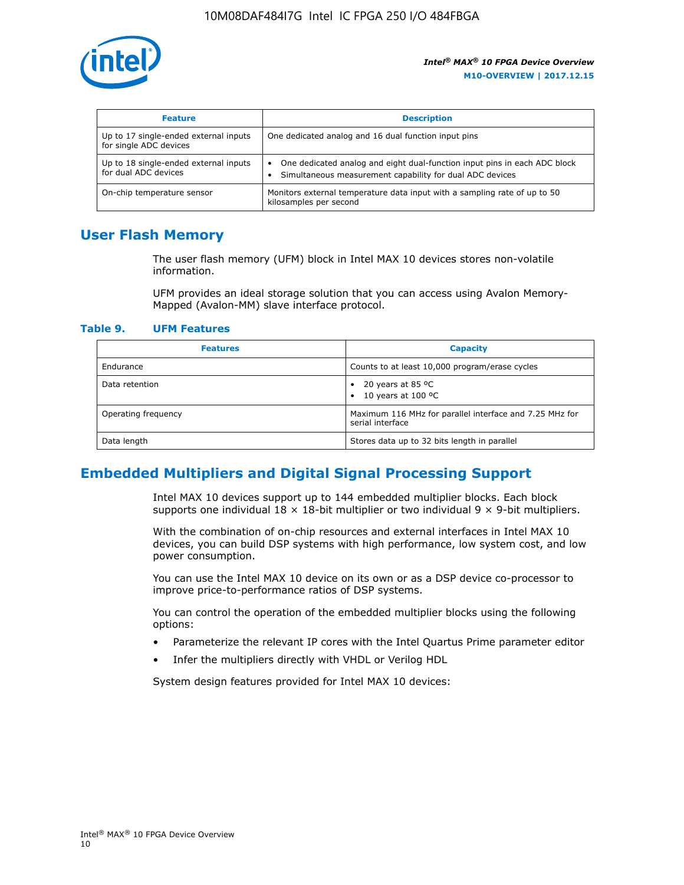

| <b>Feature</b>                                                  | <b>Description</b>                                                                                                                                 |
|-----------------------------------------------------------------|----------------------------------------------------------------------------------------------------------------------------------------------------|
| Up to 17 single-ended external inputs<br>for single ADC devices | One dedicated analog and 16 dual function input pins                                                                                               |
| Up to 18 single-ended external inputs<br>for dual ADC devices   | One dedicated analog and eight dual-function input pins in each ADC block<br>$\bullet$<br>Simultaneous measurement capability for dual ADC devices |
| On-chip temperature sensor                                      | Monitors external temperature data input with a sampling rate of up to 50<br>kilosamples per second                                                |

## **User Flash Memory**

The user flash memory (UFM) block in Intel MAX 10 devices stores non-volatile information.

UFM provides an ideal storage solution that you can access using Avalon Memory-Mapped (Avalon-MM) slave interface protocol.

#### **Table 9. UFM Features**

| <b>Features</b>     | <b>Capacity</b>                                                             |
|---------------------|-----------------------------------------------------------------------------|
| Endurance           | Counts to at least 10,000 program/erase cycles                              |
| Data retention      | 20 years at 85 $^{\circ}$ C<br>٠<br>10 years at 100 °C<br>$\bullet$         |
| Operating frequency | Maximum 116 MHz for parallel interface and 7.25 MHz for<br>serial interface |
| Data length         | Stores data up to 32 bits length in parallel                                |

## **Embedded Multipliers and Digital Signal Processing Support**

Intel MAX 10 devices support up to 144 embedded multiplier blocks. Each block supports one individual  $18 \times 18$ -bit multiplier or two individual  $9 \times 9$ -bit multipliers.

With the combination of on-chip resources and external interfaces in Intel MAX 10 devices, you can build DSP systems with high performance, low system cost, and low power consumption.

You can use the Intel MAX 10 device on its own or as a DSP device co-processor to improve price-to-performance ratios of DSP systems.

You can control the operation of the embedded multiplier blocks using the following options:

- Parameterize the relevant IP cores with the Intel Quartus Prime parameter editor
- Infer the multipliers directly with VHDL or Verilog HDL

System design features provided for Intel MAX 10 devices: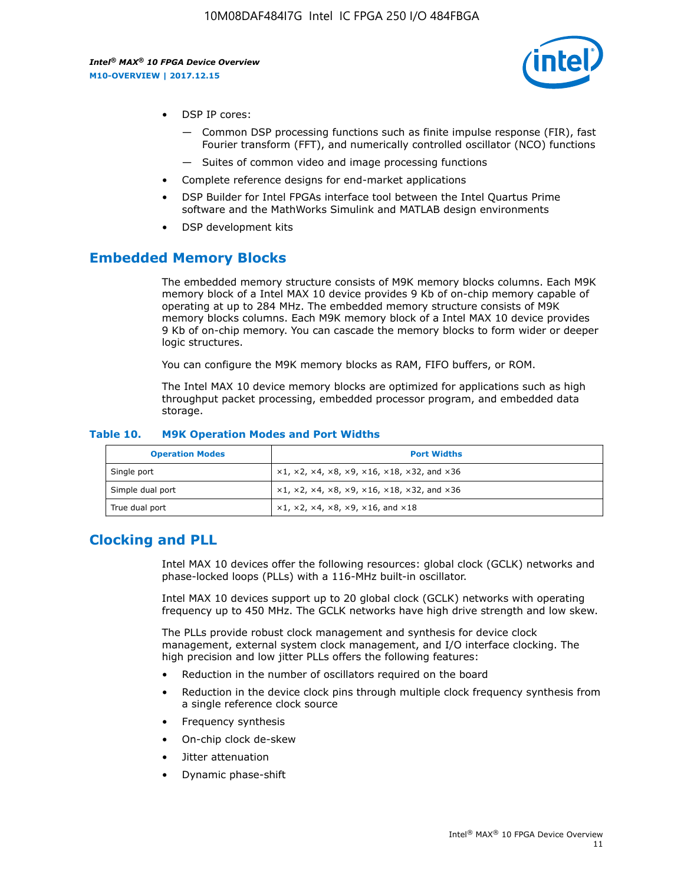

- DSP IP cores:
	- Common DSP processing functions such as finite impulse response (FIR), fast Fourier transform (FFT), and numerically controlled oscillator (NCO) functions
	- Suites of common video and image processing functions
- Complete reference designs for end-market applications
- DSP Builder for Intel FPGAs interface tool between the Intel Quartus Prime software and the MathWorks Simulink and MATLAB design environments
- DSP development kits

## **Embedded Memory Blocks**

The embedded memory structure consists of M9K memory blocks columns. Each M9K memory block of a Intel MAX 10 device provides 9 Kb of on-chip memory capable of operating at up to 284 MHz. The embedded memory structure consists of M9K memory blocks columns. Each M9K memory block of a Intel MAX 10 device provides 9 Kb of on-chip memory. You can cascade the memory blocks to form wider or deeper logic structures.

You can configure the M9K memory blocks as RAM, FIFO buffers, or ROM.

The Intel MAX 10 device memory blocks are optimized for applications such as high throughput packet processing, embedded processor program, and embedded data storage.

| <b>Operation Modes</b> | <b>Port Widths</b>                                                                       |
|------------------------|------------------------------------------------------------------------------------------|
| Single port            | $x1, x2, x4, x8, x9, x16, x18, x32, and x36$                                             |
| Simple dual port       | $x1, x2, x4, x8, x9, x16, x18, x32, and x36$                                             |
| True dual port         | $\times$ 1, $\times$ 2, $\times$ 4, $\times$ 8, $\times$ 9, $\times$ 16, and $\times$ 18 |

#### **Table 10. M9K Operation Modes and Port Widths**

## **Clocking and PLL**

Intel MAX 10 devices offer the following resources: global clock (GCLK) networks and phase-locked loops (PLLs) with a 116-MHz built-in oscillator.

Intel MAX 10 devices support up to 20 global clock (GCLK) networks with operating frequency up to 450 MHz. The GCLK networks have high drive strength and low skew.

The PLLs provide robust clock management and synthesis for device clock management, external system clock management, and I/O interface clocking. The high precision and low jitter PLLs offers the following features:

- Reduction in the number of oscillators required on the board
- Reduction in the device clock pins through multiple clock frequency synthesis from a single reference clock source
- Frequency synthesis
- On-chip clock de-skew
- Jitter attenuation
- Dynamic phase-shift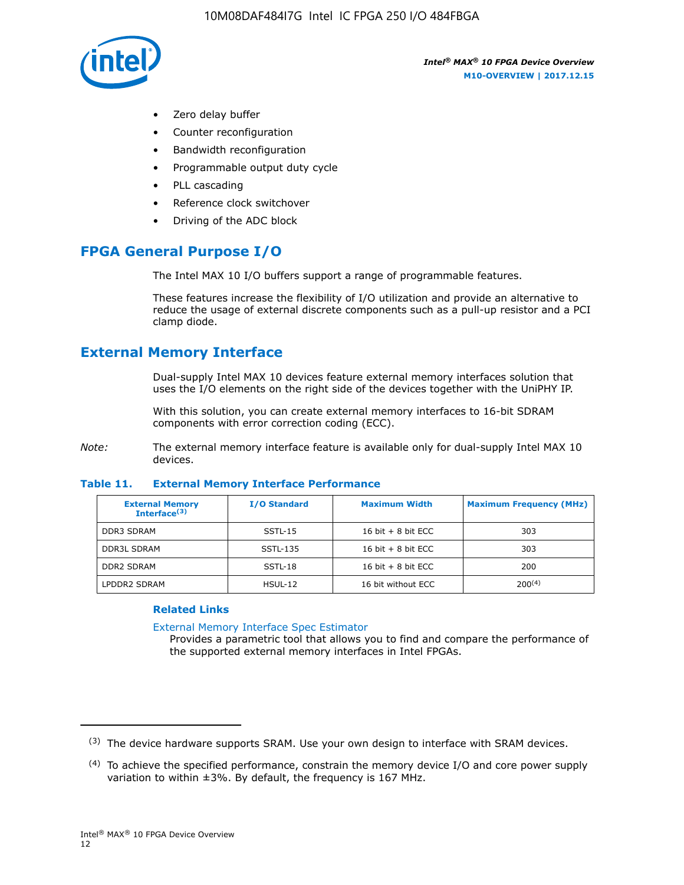

- Zero delay buffer
- Counter reconfiguration
- Bandwidth reconfiguration
- Programmable output duty cycle
- PLL cascading
- Reference clock switchover
- Driving of the ADC block

## **FPGA General Purpose I/O**

The Intel MAX 10 I/O buffers support a range of programmable features.

These features increase the flexibility of I/O utilization and provide an alternative to reduce the usage of external discrete components such as a pull-up resistor and a PCI clamp diode.

## **External Memory Interface**

Dual-supply Intel MAX 10 devices feature external memory interfaces solution that uses the I/O elements on the right side of the devices together with the UniPHY IP.

With this solution, you can create external memory interfaces to 16-bit SDRAM components with error correction coding (ECC).

*Note:* The external memory interface feature is available only for dual-supply Intel MAX 10 devices.

#### **Table 11. External Memory Interface Performance**

| <b>External Memory</b><br>Interface $(3)$ | <b>I/O Standard</b> | <b>Maximum Width</b> | <b>Maximum Frequency (MHz)</b> |
|-------------------------------------------|---------------------|----------------------|--------------------------------|
| <b>DDR3 SDRAM</b>                         | $SSTL-15$           | 16 bit $+8$ bit ECC  | 303                            |
| <b>DDR3L SDRAM</b>                        | SSTL-135            | 16 bit $+8$ bit ECC  | 303                            |
| <b>DDR2 SDRAM</b>                         | SSTL-18             | 16 bit $+8$ bit ECC  | 200                            |
| LPDDR2 SDRAM                              | HSUL-12             | 16 bit without ECC   | $200^{(4)}$                    |

#### **Related Links**

[External Memory Interface Spec Estimator](http://www.altera.com/technology/memory/estimator/mem-emif-index.html)

Provides a parametric tool that allows you to find and compare the performance of the supported external memory interfaces in Intel FPGAs.

 $(3)$  The device hardware supports SRAM. Use your own design to interface with SRAM devices.

 $(4)$  To achieve the specified performance, constrain the memory device I/O and core power supply variation to within ±3%. By default, the frequency is 167 MHz.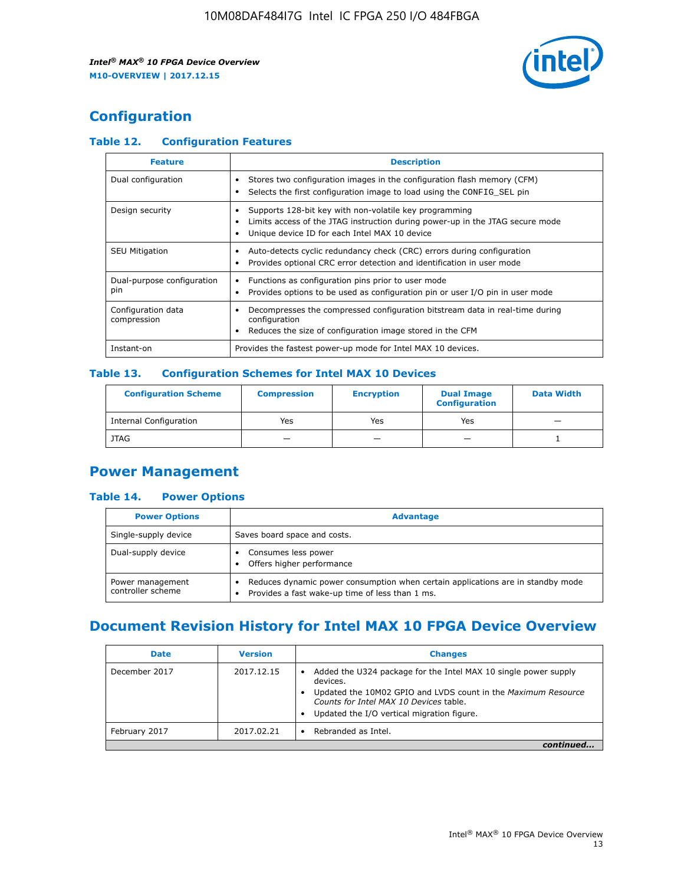

## **Configuration**

## **Table 12. Configuration Features**

| <b>Feature</b>                    | <b>Description</b>                                                                                                                                                                       |
|-----------------------------------|------------------------------------------------------------------------------------------------------------------------------------------------------------------------------------------|
| Dual configuration                | Stores two configuration images in the configuration flash memory (CFM)<br>Selects the first configuration image to load using the CONFIG SEL pin                                        |
| Design security                   | Supports 128-bit key with non-volatile key programming<br>Limits access of the JTAG instruction during power-up in the JTAG secure mode<br>Unique device ID for each Intel MAX 10 device |
| <b>SEU Mitigation</b>             | Auto-detects cyclic redundancy check (CRC) errors during configuration<br>Provides optional CRC error detection and identification in user mode                                          |
| Dual-purpose configuration<br>pin | Functions as configuration pins prior to user mode<br>Provides options to be used as configuration pin or user I/O pin in user mode                                                      |
| Configuration data<br>compression | Decompresses the compressed configuration bitstream data in real-time during<br>configuration<br>Reduces the size of configuration image stored in the CFM                               |
| Instant-on                        | Provides the fastest power-up mode for Intel MAX 10 devices.                                                                                                                             |

#### **Table 13. Configuration Schemes for Intel MAX 10 Devices**

| <b>Configuration Scheme</b>   | <b>Compression</b>       | <b>Encryption</b> | <b>Dual Image</b><br><b>Configuration</b> | <b>Data Width</b> |
|-------------------------------|--------------------------|-------------------|-------------------------------------------|-------------------|
| <b>Internal Configuration</b> | Yes                      | Yes               | Yes                                       |                   |
| <b>JTAG</b>                   | $\overline{\phantom{a}}$ |                   | -                                         |                   |

## **Power Management**

#### **Table 14. Power Options**

| <b>Power Options</b>                  | <b>Advantage</b>                                                                                                                                |  |
|---------------------------------------|-------------------------------------------------------------------------------------------------------------------------------------------------|--|
| Single-supply device                  | Saves board space and costs.                                                                                                                    |  |
| Dual-supply device                    | Consumes less power<br>Offers higher performance<br>$\bullet$                                                                                   |  |
| Power management<br>controller scheme | Reduces dynamic power consumption when certain applications are in standby mode<br>Provides a fast wake-up time of less than 1 ms.<br>$\bullet$ |  |

## **Document Revision History for Intel MAX 10 FPGA Device Overview**

| <b>Date</b>   | <b>Version</b> | <b>Changes</b>                                                                                                                                                                                                                       |
|---------------|----------------|--------------------------------------------------------------------------------------------------------------------------------------------------------------------------------------------------------------------------------------|
| December 2017 | 2017.12.15     | Added the U324 package for the Intel MAX 10 single power supply<br>devices.<br>Updated the 10M02 GPIO and LVDS count in the Maximum Resource<br>Counts for Intel MAX 10 Devices table.<br>Updated the I/O vertical migration figure. |
| February 2017 | 2017.02.21     | Rebranded as Intel.                                                                                                                                                                                                                  |
|               |                |                                                                                                                                                                                                                                      |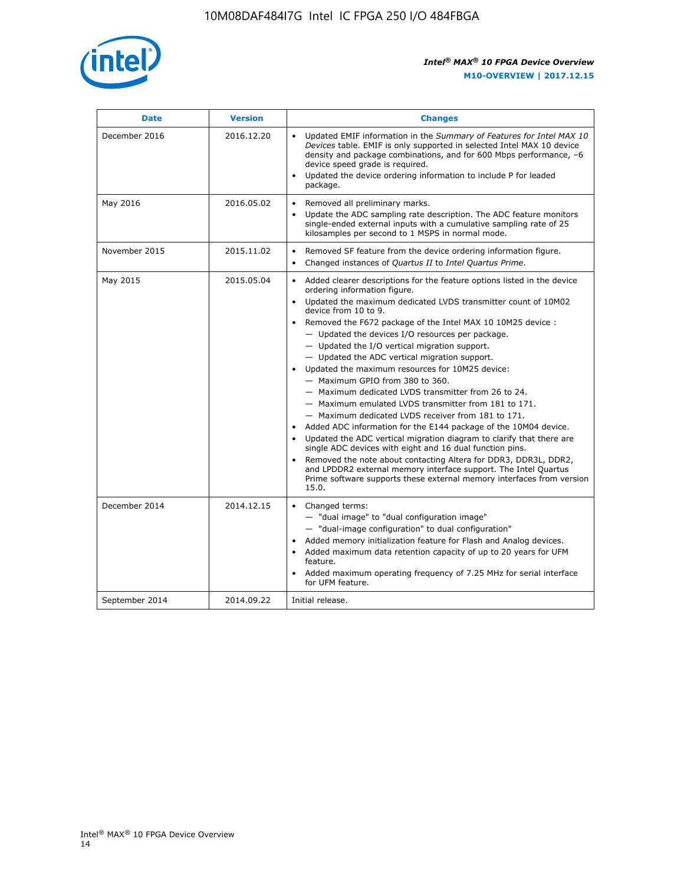

| <b>Date</b>    | <b>Version</b> | <b>Changes</b>                                                                                                                                                                                                                                                                                                                                                                                                                                                                                                                                                                                                                                                                                                                                                                                                                                                                                                                                                                                                                                                                                                  |  |
|----------------|----------------|-----------------------------------------------------------------------------------------------------------------------------------------------------------------------------------------------------------------------------------------------------------------------------------------------------------------------------------------------------------------------------------------------------------------------------------------------------------------------------------------------------------------------------------------------------------------------------------------------------------------------------------------------------------------------------------------------------------------------------------------------------------------------------------------------------------------------------------------------------------------------------------------------------------------------------------------------------------------------------------------------------------------------------------------------------------------------------------------------------------------|--|
| December 2016  | 2016.12.20     | • Updated EMIF information in the Summary of Features for Intel MAX 10<br>Devices table. EMIF is only supported in selected Intel MAX 10 device<br>density and package combinations, and for 600 Mbps performance, -6<br>device speed grade is required.<br>Updated the device ordering information to include P for leaded<br>package.                                                                                                                                                                                                                                                                                                                                                                                                                                                                                                                                                                                                                                                                                                                                                                         |  |
| May 2016       | 2016.05.02     | Removed all preliminary marks.<br>Update the ADC sampling rate description. The ADC feature monitors<br>single-ended external inputs with a cumulative sampling rate of 25<br>kilosamples per second to 1 MSPS in normal mode.                                                                                                                                                                                                                                                                                                                                                                                                                                                                                                                                                                                                                                                                                                                                                                                                                                                                                  |  |
| November 2015  | 2015.11.02     | Removed SF feature from the device ordering information figure.<br>$\bullet$<br>Changed instances of Quartus II to Intel Quartus Prime.<br>$\bullet$                                                                                                                                                                                                                                                                                                                                                                                                                                                                                                                                                                                                                                                                                                                                                                                                                                                                                                                                                            |  |
| May 2015       | 2015.05.04     | Added clearer descriptions for the feature options listed in the device<br>ordering information figure.<br>Updated the maximum dedicated LVDS transmitter count of 10M02<br>device from 10 to 9.<br>Removed the F672 package of the Intel MAX 10 10M25 device :<br>- Updated the devices I/O resources per package.<br>- Updated the I/O vertical migration support.<br>- Updated the ADC vertical migration support.<br>Updated the maximum resources for 10M25 device:<br>- Maximum GPIO from 380 to 360.<br>- Maximum dedicated LVDS transmitter from 26 to 24.<br>- Maximum emulated LVDS transmitter from 181 to 171.<br>- Maximum dedicated LVDS receiver from 181 to 171.<br>Added ADC information for the E144 package of the 10M04 device.<br>Updated the ADC vertical migration diagram to clarify that there are<br>single ADC devices with eight and 16 dual function pins.<br>Removed the note about contacting Altera for DDR3, DDR3L, DDR2,<br>and LPDDR2 external memory interface support. The Intel Quartus<br>Prime software supports these external memory interfaces from version<br>15.0. |  |
| December 2014  | 2014.12.15     | Changed terms:<br>- "dual image" to "dual configuration image"<br>- "dual-image configuration" to dual configuration"<br>Added memory initialization feature for Flash and Analog devices.<br>Added maximum data retention capacity of up to 20 years for UFM<br>feature.<br>Added maximum operating frequency of 7.25 MHz for serial interface<br>for UFM feature.                                                                                                                                                                                                                                                                                                                                                                                                                                                                                                                                                                                                                                                                                                                                             |  |
| September 2014 | 2014.09.22     | Initial release.                                                                                                                                                                                                                                                                                                                                                                                                                                                                                                                                                                                                                                                                                                                                                                                                                                                                                                                                                                                                                                                                                                |  |